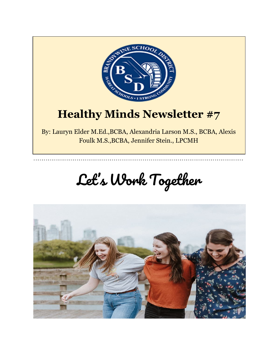

### **Healthy Minds Newsletter #7**

By: Lauryn Elder M.Ed.,BCBA, Alexandria Larson M.S., BCBA, Alexis Foulk M.S.,BCBA, Jennifer Stein., LPCMH

# Let' s Work Together

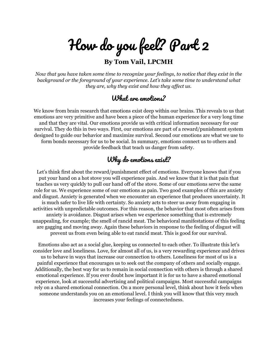How do you feel? Part 2

**By Tom Vail, LPCMH**

*Now that you have taken some time to recognize your feelings, to notice that they exist in the background or the foreground of your experience. Let's take some time to understand what they are, why they exist and how they af ect us.*

#### What are emotions?

We know from brain research that emotions exist deep within our brains. This reveals to us that emotions are very primitive and have been a piece of the human experience for a very long time and that they are vital. Our emotions provide us with critical information necessary for our survival. They do this in two ways. First, our emotions are part of a reward/punishment system designed to guide our behavior and maximize survival. Second our emotions are what we use to form bonds necessary for us to be social. In summary, emotions connect us to others and provide feedback that teach us danger from safety.

#### Why do emotions exist?

Let's think first about the reward/punishment effect of emotions. Everyone knows that if you put your hand on a hot stove you will experience pain. And we know that it is that pain that teaches us very quickly to pull our hand off of the stove. Some of our emotions serve the same role for us. We experience some of our emotions as pain. Two good examples of this are anxiety and disgust. Anxiety is generated when we encounter an experience that produces uncertainty. It is much safer to live life with certainty. So anxiety acts to steer us away from engaging in activities with unpredictable outcomes. For this reason, the behavior that most often arises from anxiety is avoidance. Disgust arises when we experience something that is extremely unappealing, for example; the smell of rancid meat. The behavioral manifestations of this feeling are gagging and moving away. Again these behaviors in response to the feeling of disgust will prevent us from even being able to eat rancid meat. This is good for our survival.

Emotions also act as a social glue, keeping us connected to each other. To illustrate this let's consider love and loneliness. Love, for almost all of us, is a very rewarding experience and drives us to behave in ways that increase our connection to others. Loneliness for most of us is a painful experience that encourages us to seek out the company of others and socially engage. Additionally, the best way for us to remain in social connection with others is through a shared emotional experience. If you ever doubt how important it is for us to have a shared emotional experience, look at successful advertising and political campaigns. Most successful campaigns rely on a shared emotional connection. On a more personal level, think about how it feels when someone understands you on an emotional level. I think you will know that this very much increases your feelings of connectedness.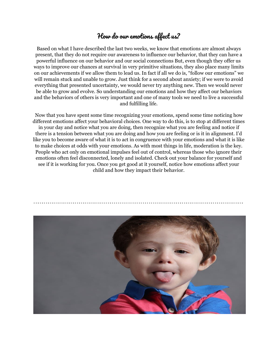#### How do our emotions affect us?

Based on what I have described the last two weeks, we know that emotions are almost always present, that they do not require our awareness to influence our behavior, that they can have a powerful influence on our behavior and our social connections But, even though they offer us ways to improve our chances at survival in very primitive situations, they also place many limits on our achievements if we allow them to lead us. In fact if all we do is, "follow our emotions" we will remain stuck and unable to grow. Just think for a second about anxiety; if we were to avoid everything that presented uncertainty, we would never try anything new. Then we would never be able to grow and evolve. So understanding our emotions and how they affect our behaviors and the behaviors of others is very important and one of many tools we need to live a successful and fulfilling life.

Now that you have spent some time recognizing your emotions, spend some time noticing how different emotions affect your behavioral choices. One way to do this, is to stop at different times in your day and notice what you are doing, then recognize what you are feeling and notice if there is a tension between what you are doing and how you are feeling or is it in alignment. I'd like you to become aware of what it is to act in congruence with your emotions and what it is like to make choices at odds with your emotions. As with most things in life, moderation is the key. People who act only on emotional impulses feel out of control, whereas those who ignore their emotions often feel disconnected, lonely and isolated. Check out your balance for yourself and see if it is working for you. Once you get good at it yourself, notice how emotions affect your child and how they impact their behavior.

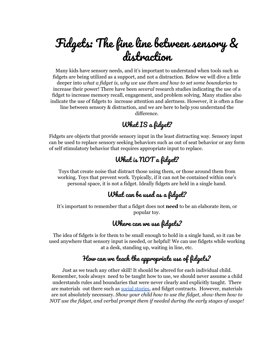### Fidgets: The fine line between sensory & distraction

Many kids have sensory needs, and it's important to understand when tools such as fidgets are being utilized as a support, and not a distraction. Below we will dive a little deeper into *what a fidget is, why we use them and how to set some boundaries* to increase their power! There have been *several* research studies indicating the use of a fidget to increase memory recall, engagement, and problem solving. Many studies also indicate the use of fidgets to increase attention and alertness. However, it is often a fine line between sensory & distraction, and we are here to help you understand the difference.

#### What IS a fidget?

Fidgets are objects that provide sensory input in the least distracting way. Sensory input can be used to replace sensory seeking behaviors such as out of seat behavior or any form of self stimulatory behavior that requires appropriate input to replace.

#### What is NOT a fidget?

Toys that create noise that distract those using them, or those around them from working. Toys that prevent work. Typically, if it can not be contained within one's personal space, it is not a fidget. Ideally fidgets are held in a single hand.

#### What can be used as a fidget?

It's important to remember that a fidget does not **need** to be an elaborate item, or popular toy.

#### Where can we use fidgets?

The idea of fidgets is for them to be small enough to hold in a single hand, so it can be used anywhere that sensory input is needed, or helpful! We can use fidgets while working at a desk, standing up, waiting in line, etc.

#### How can we teach the appropriate use of fidgets?

Just as we teach any other skill! It should be altered for each individual child. Remember, tools always need to be taught how to use, we should never assume a child understands rules and boundaries that were never clearly and explicitly taught. There are materials out there such as social [stories](https://www.andnextcomesl.com/2019/05/free-printable-fidget-social-story.html), and fidget contracts. However, materials are not absolutely necessary. *Show your child how to use the fidget, show them how to NOT use the fidget, and verbal prompt them if needed during the early stages of usage!*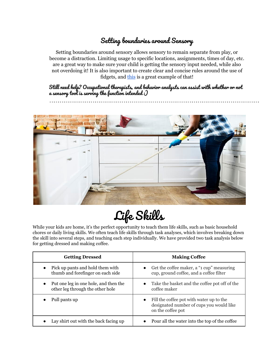#### Setting boundaries around Sensory

Setting boundaries around sensory allows sensory to remain separate from play, or become a distraction. Limiting usage to specific locations, assignments, times of day, etc. are a great way to make sure your child is getting the sensory input needed, while also not overdoing it! It is also important to create clear and concise rules around the use of fidgets, and [this](https://www.teacherspayteachers.com/Product/Fidget-Rules-Poster-3774701) is a great example of that!

Still need help? Occupational therapists, and behavior analysts can assist with whether or not a sensory tool is serving the function intended :)



Life Skills

While your kids are home, it's the perfect opportunity to teach them life skills, such as basic household chores or daily living skills. We often teach life skills through task analyses, which involves breaking down the skill into several steps, and teaching each step individually. We have provided two task analysis below for getting dressed and making coffee.

| <b>Getting Dressed</b>                                                                 | <b>Making Coffee</b>                                                                                                   |
|----------------------------------------------------------------------------------------|------------------------------------------------------------------------------------------------------------------------|
| Pick up pants and hold them with<br>$\bullet$<br>thumb and forefinger on each side     | Get the coffee maker, a "1 cup" measuring<br>$\bullet$<br>cup, ground coffee, and a coffee filter                      |
| Put one leg in one hole, and then the<br>$\bullet$<br>other leg through the other hole | • Take the basket and the coffee pot off of the<br>coffee maker                                                        |
| Pull pants up                                                                          | Fill the coffee pot with water up to the<br>$\bullet$<br>designated number of cups you would like<br>on the coffee pot |
| Lay shirt out with the back facing up                                                  | Pour all the water into the top of the coffee                                                                          |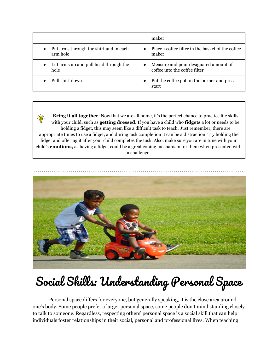|                                                    | maker                                                                               |
|----------------------------------------------------|-------------------------------------------------------------------------------------|
| Put arms through the shirt and in each<br>arm hole | • Place 1 coffee filter in the basket of the coffee<br>maker                        |
| Lift arms up and pull head through the<br>hole     | Measure and pour designated amount of<br>$\bullet$<br>coffee into the coffee filter |
| Pull shirt down                                    | Put the coffee pot on the burner and press<br>$\bullet$<br>start                    |

**Bring it all together**: Now that we are all home, it's the perfect chance to practice life skills with your child, such as **getting dressed.** If you have a child who **fidgets** a lot or needs to be holding a fidget, this may seem like a difficult task to teach. Just remember, there are appropriate times to use a fidget, and during task completion it can be a distraction. Try holding the fidget and offering it after your child completes the task. Also, make sure you are in tune with your child's **emotions,** as having a fidget could be a great coping mechanism for them when presented with a challenge.



# Social Skills: Understanding Personal Space

Personal space differs for everyone, but generally speaking, it is the close area around one's body. Some people prefer a larger personal space, some people don't mind standing closely to talk to someone. Regardless, respecting others' personal space is a social skill that can help individuals foster relationships in their social, personal and professional lives. When teaching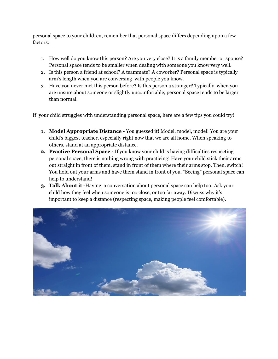personal space to your children, remember that personal space differs depending upon a few factors:

- 1. How well do you know this person? Are you very close? It is a family member or spouse? Personal space tends to be smaller when dealing with someone you know very well.
- 2. Is this person a friend at school? A teammate? A coworker? Personal space is typically arm's length when you are conversing with people you know.
- 3. Have you never met this person before? Is this person a stranger? Typically, when you are unsure about someone or slightly uncomfortable, personal space tends to be larger than normal.

If your child struggles with understanding personal space, here are a few tips you could try!

- **1. Model Appropriate Distance** You guessed it! Model, model, model! You are your child's biggest teacher, especially right now that we are all home. When speaking to others, stand at an appropriate distance.
- **2. Practice Personal Space -** If you know your child is having difficulties respecting personal space, there is nothing wrong with practicing! Have your child stick their arms out straight in front of them, stand in front of them where their arms stop. Then, switch! You hold out your arms and have them stand in front of you. "Seeing" personal space can help to understand!
- **3. Talk About it** -Having a conversation about personal space can help too! Ask your child how they feel when someone is too close, or too far away. Discuss why it's important to keep a distance (respecting space, making people feel comfortable).

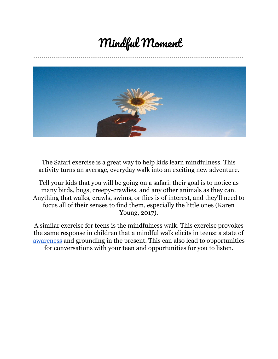### Mindful Moment



The Safari exercise is a great way to help kids learn mindfulness. This activity turns an average, everyday walk into an exciting new adventure.

Tell your kids that you will be going on a safari: their goal is to notice as many birds, bugs, creepy-crawlies, and any other animals as they can. Anything that walks, crawls, swims, or flies is of interest, and they'll need to focus all of their senses to find them, especially the little ones (Karen Young, 2017).

A similar exercise for teens is the mindfulness walk. This exercise provokes the same response in children that a mindful walk elicits in teens: a state of [awareness](https://positivepsychology.com/self-awareness-matters-how-you-can-be-more-self-aware/) and grounding in the present. This can also lead to opportunities for conversations with your teen and opportunities for you to listen.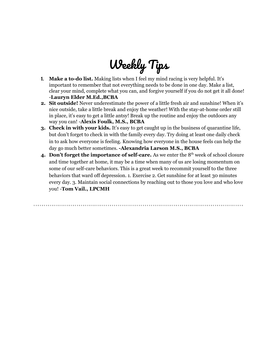## Weekly Tips

- **1. Make a to-do list.** Making lists when I feel my mind racing is very helpful. It's important to remember that not everything needs to be done in one day. Make a list, clear your mind, complete what you can, and forgive yourself if you do not get it all done! -**Lauryn Elder M.Ed.,BCBA**
- **2. Sit outside!** Never underestimate the power of a little fresh air and sunshine! When it's nice outside, take a little break and enjoy the weather! With the stay-at-home order still in place, it's easy to get a little antsy! Break up the routine and enjoy the outdoors any way you can! -**Alexis Foulk, M.S., BCBA**
- **3. Check in with your kids.** It's easy to get caught up in the business of quarantine life, but don't forget to check in with the family every day. Try doing at least one daily check in to ask how everyone is feeling. Knowing how everyone in the house feels can help the day go much better sometimes. **-Alexandria Larson M.S., BCBA**
- **4. Don't forget the importance of self-care.** As we enter the 8 th week of school closure and time together at home, it may be a time when many of us are losing momentum on some of our self-care behaviors. This is a great week to recommit yourself to the three behaviors that ward off depression. 1. Exercise 2. Get sunshine for at least 30 minutes every day. 3. Maintain social connections by reaching out to those you love and who love you! -**Tom Vail., LPCMH**